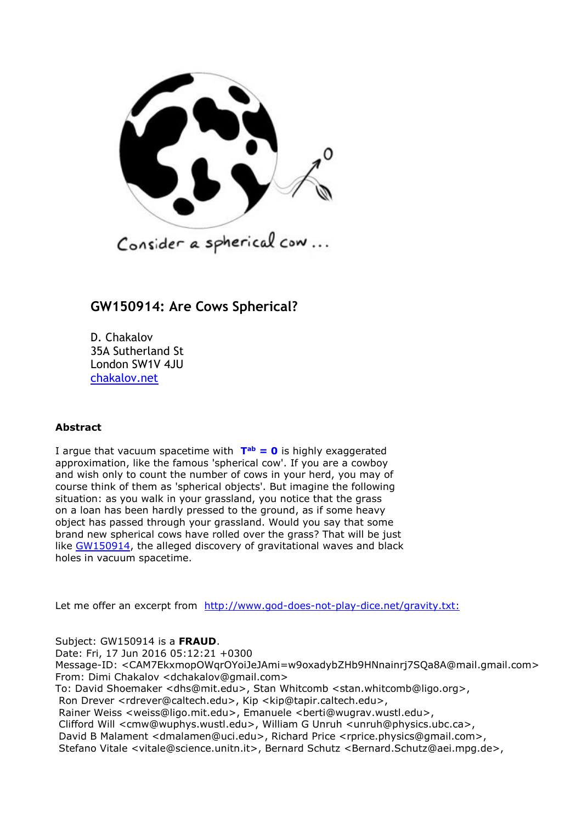

## **GW150914: Are Cows Spherical?**

D. Chakalov 35A Sutherland St London SW1V 4JU [chakalov.net](http://chakalov.net/)

## **Abstract**

I argue that vacuum spacetime with  $T^{ab} = 0$  $T^{ab} = 0$  is highly exaggerated approximation, like the famous 'spherical cow'. If you are a cowboy and wish only to count the number of cows in your herd, you may of course think of them as 'spherical objects'. But imagine the following situation: as you walk in your grassland, you notice that the grass on a loan has been hardly pressed to the ground, as if some heavy object has passed through your grassland. Would you say that some brand new spherical cows have rolled over the grass? That will be just like [GW150914,](#page-5-0) the alleged discovery of gravitational waves and black holes in vacuum spacetime.

Let me offer an excerpt from [http://www.god-does-not-play-dice.net/gravity.txt:](http://www.god-does-not-play-dice.net/gravity.txt)

Subject: GW150914 is a **FRAUD**.

Date: Fri, 17 Jun 2016 05:12:21 +0300 Message-ID: <CAM7EkxmopOWqrOYoiJeJAmi=w9oxadybZHb9HNnainrj7SQa8A@mail.gmail.com> From: Dimi Chakalov <dchakalov@gmail.com> To: David Shoemaker <dhs@mit.edu>, Stan Whitcomb <stan.whitcomb@ligo.org>,

Ron Drever <rdrever@caltech.edu>, Kip <kip@tapir.caltech.edu>,

Rainer Weiss <weiss@ligo.mit.edu>, Emanuele <berti@wugrav.wustl.edu>,

Clifford Will <cmw@wuphys.wustl.edu>, William G Unruh <unruh@physics.ubc.ca>,

David B Malament <dmalamen@uci.edu>, Richard Price <rprice.physics@gmail.com>, Stefano Vitale <vitale@science.unitn.it>, Bernard Schutz <Bernard.Schutz@aei.mpg.de>,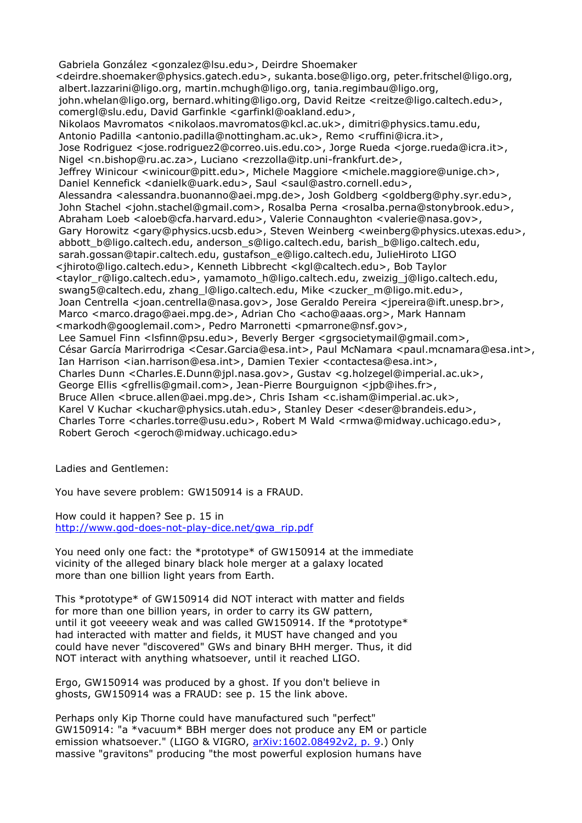Gabriela González <gonzalez@lsu.edu>, Deirdre Shoemaker <deirdre.shoemaker@physics.gatech.edu>, sukanta.bose@ligo.org, peter.fritschel@ligo.org, albert.lazzarini@ligo.org, martin.mchugh@ligo.org, tania.regimbau@ligo.org, john.whelan@ligo.org, bernard.whiting@ligo.org, David Reitze <reitze@ligo.caltech.edu>, comergl@slu.edu, David Garfinkle <garfinkl@oakland.edu>, Nikolaos Mavromatos <nikolaos.mavromatos@kcl.ac.uk>, dimitri@physics.tamu.edu, Antonio Padilla <antonio.padilla@nottingham.ac.uk>, Remo <ruffini@icra.it>, Jose Rodriguez <jose.rodriguez2@correo.uis.edu.co>, Jorge Rueda <jorge.rueda@icra.it>, Nigel <n.bishop@ru.ac.za>, Luciano <rezzolla@itp.uni-frankfurt.de>, Jeffrey Winicour <winicour@pitt.edu>, Michele Maggiore <michele.maggiore@unige.ch>, Daniel Kennefick <danielk@uark.edu>, Saul <saul@astro.cornell.edu>, Alessandra <alessandra.buonanno@aei.mpg.de>, Josh Goldberg <goldberg@phy.syr.edu>, John Stachel <john.stachel@gmail.com>, Rosalba Perna <rosalba.perna@stonybrook.edu>, Abraham Loeb <aloeb@cfa.harvard.edu>, Valerie Connaughton <valerie@nasa.gov>, Gary Horowitz <gary@physics.ucsb.edu>, Steven Weinberg <weinberg@physics.utexas.edu>, abbott\_b@ligo.caltech.edu, anderson\_s@ligo.caltech.edu, barish\_b@ligo.caltech.edu, sarah.gossan@tapir.caltech.edu, gustafson\_e@ligo.caltech.edu, JulieHiroto LIGO <jhiroto@ligo.caltech.edu>, Kenneth Libbrecht <kgl@caltech.edu>, Bob Taylor <taylor\_r@ligo.caltech.edu>, yamamoto\_h@ligo.caltech.edu, zweizig\_j@ligo.caltech.edu, swang5@caltech.edu, zhang\_l@ligo.caltech.edu, Mike <zucker\_m@ligo.mit.edu>, Joan Centrella <joan.centrella@nasa.gov>, Jose Geraldo Pereira <jpereira@ift.unesp.br>, Marco <marco.drago@aei.mpg.de>, Adrian Cho <acho@aaas.org>, Mark Hannam <markodh@googlemail.com>, Pedro Marronetti <pmarrone@nsf.gov>, Lee Samuel Finn <lsfinn@psu.edu>, Beverly Berger <grgsocietymail@gmail.com>, César García Marirrodriga <Cesar.Garcia@esa.int>, Paul McNamara <paul.mcnamara@esa.int>, Ian Harrison <ian.harrison@esa.int>, Damien Texier <contactesa@esa.int>, Charles Dunn <Charles.E.Dunn@jpl.nasa.gov>, Gustav <g.holzegel@imperial.ac.uk>, George Ellis <gfrellis@gmail.com>, Jean-Pierre Bourguignon <jpb@ihes.fr>, Bruce Allen <br/> <br/> <br/>  $\mathsf{Brucc}$  and  $\mathsf{Hence}$ . Chris Isham <c.isham@imperial.ac.uk>, Karel V Kuchar <kuchar@physics.utah.edu>, Stanley Deser <deser@brandeis.edu>, Charles Torre <charles.torre@usu.edu>, Robert M Wald <rmwa@midway.uchicago.edu>, Robert Geroch <geroch@midway.uchicago.edu>

Ladies and Gentlemen:

You have severe problem: GW150914 is a FRAUD.

How could it happen? See p. 15 in [http://www.god-does-not-play-dice.net/gwa\\_rip.pdf](http://www.god-does-not-play-dice.net/gwa_rip.pdf)

You need only one fact: the \*prototype\* of GW150914 at the immediate vicinity of the alleged binary black hole merger at a galaxy located more than one billion light years from Earth.

<span id="page-1-0"></span>This \*prototype\* of GW150914 did NOT interact with matter and fields for more than one billion years, in order to carry its GW pattern, until it got veeeery weak and was called GW150914. If the \*prototype\* had interacted with matter and fields, it MUST have changed and you could have never "discovered" GWs and binary BHH merger. Thus, it did NOT interact with anything whatsoever, until it reached LIGO.

Ergo, GW150914 was produced by a ghost. If you don't believe in ghosts, GW150914 was a FRAUD: see p. 15 the link above.

Perhaps only Kip Thorne could have manufactured such "perfect" GW150914: "a \*vacuum\* BBH merger does not produce any EM or particle emission whatsoever." (LIGO & VIGRO, [arXiv:1602.08492v2, p. 9.](http://arxiv.org/abs/1602.08492v3)) Only massive "gravitons" producing "the most powerful explosion humans have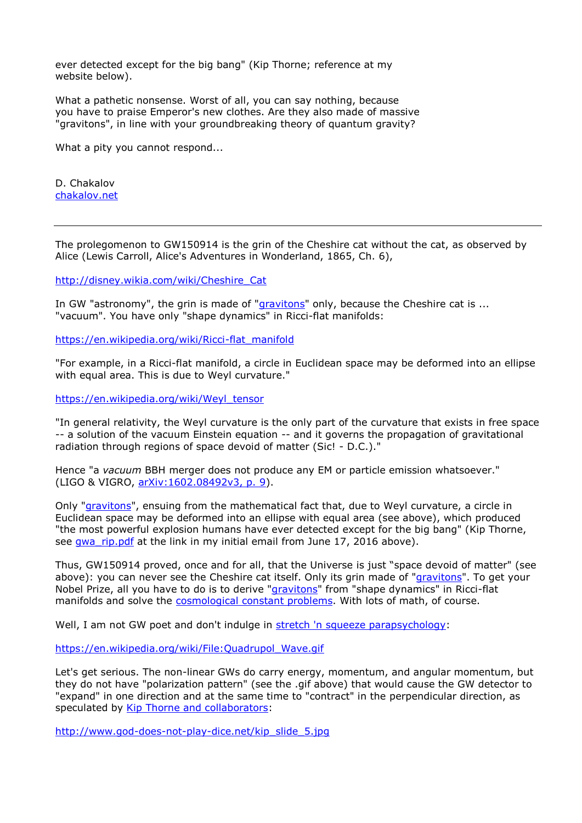ever detected except for the big bang" (Kip Thorne; reference at my website below).

What a pathetic nonsense. Worst of all, you can say nothing, because you have to praise Emperor's new clothes. Are they also made of massive "gravitons", in line with your groundbreaking theory of quantum gravity?

What a pity you cannot respond...

D. Chakalov [chakalov.net](http://chakalov.net/)

The prolegomenon to GW150914 is the grin of the Cheshire cat without the cat, as observed by Alice (Lewis Carroll, Alice's Adventures in Wonderland, 1865, Ch. 6),

[http://disney.wikia.com/wiki/Cheshire\\_Cat](http://disney.wikia.com/wiki/Cheshire_Cat)

In GW "astronomy", the grin is made of ["gravitons"](#page-6-0) only, because the Cheshire cat is ... "vacuum". You have only "shape dynamics" in Ricci-flat manifolds:

[https://en.wikipedia.org/wiki/Ricci-flat\\_manifold](https://en.wikipedia.org/wiki/Ricci-flat_manifold)

"For example, in a Ricci-flat manifold, a circle in Euclidean space may be deformed into an ellipse with equal area. This is due to Weyl curvature."

[https://en.wikipedia.org/wiki/Weyl\\_tensor](https://en.wikipedia.org/wiki/Weyl_tensor)

"In general relativity, the Weyl curvature is the only part of the curvature that exists in free space -- a solution of the vacuum Einstein equation -- and it governs the propagation of gravitational radiation through regions of space devoid of matter (Sic! - D.C.)."

Hence "a *vacuum* BBH merger does not produce any EM or particle emission whatsoever." (LIGO & VIGRO, [arXiv:1602.08492v3, p. 9\)](http://arxiv.org/abs/1602.08492v3).

Only ["gravitons"](#page-6-0), ensuing from the mathematical fact that, due to Weyl curvature, a circle in Euclidean space may be deformed into an ellipse with equal area (see above), which produced "the most powerful explosion humans have ever detected except for the big bang" (Kip Thorne, see qwa\_rip.pdf at the link in my initial email from June 17, 2016 above).

Thus, GW150914 proved, once and for all, that the Universe is just "space devoid of matter" (see above): you can never see the Cheshire cat itself. Only its grin made of ["gravitons"](#page-6-0). To get your Nobel Prize, all you have to do is to derive ["gravitons"](#page-6-0) from "shape dynamics" in Ricci-flat manifolds and solve the [cosmological constant problems.](#page-4-0) With lots of math, of course.

Well, I am not GW poet and don't indulge in [stretch 'n squeeze parapsychology:](#page-5-0)

[https://en.wikipedia.org/wiki/File:Quadrupol\\_Wave.gif](https://en.wikipedia.org/wiki/File:Quadrupol_Wave.gif)

Let's get serious. The non-linear GWs do carry energy, momentum, and angular momentum, but they do not have "polarization pattern" (see the .gif above) that would cause the GW detector to "expand" in one direction and at the same time to "contract" in the perpendicular direction, as speculated by [Kip Thorne and collaborators:](#page-5-0)

[http://www.god-does-not-play-dice.net/kip\\_slide\\_5.jpg](http://www.god-does-not-play-dice.net/kip_slide_5.jpg)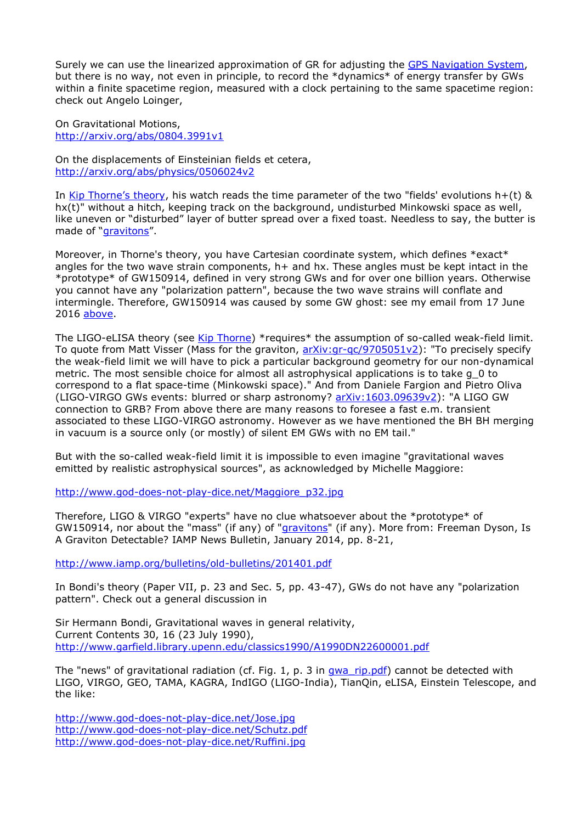Surely we can use the linearized approximation of GR for adjusting the [GPS Navigation System,](http://www.astronomy.ohio-state.edu/~pogge/Ast162/Unit5/gps.html) but there is no way, not even in principle, to record the \*dynamics\* of energy transfer by GWs within a finite spacetime region, measured with a clock pertaining to the same spacetime region: check out Angelo Loinger,

On Gravitational Motions, <http://arxiv.org/abs/0804.3991v1>

On the displacements of Einsteinian fields et cetera, <http://arxiv.org/abs/physics/0506024v2>

In [Kip Thorne's theory](#page-5-0), his watch reads the time parameter of the two "fields' evolutions h+(t) & hx(t)" without a hitch, keeping track on the background, undisturbed Minkowski space as well, like uneven or "disturbed" layer of butter spread over a fixed toast. Needless to say, the butter is made of "[gravitons](#page-6-0)".

Moreover, in Thorne's theory, you have Cartesian coordinate system, which defines \*exact\* angles for the two wave strain components,  $h+$  and hx. These angles must be kept intact in the \*prototype\* of GW150914, defined in very strong GWs and for over one billion years. Otherwise you cannot have any "polarization pattern", because the two wave strains will conflate and intermingle. Therefore, GW150914 was caused by some GW ghost: see my email from 17 June 2016 [above.](#page-1-0)

The LIGO-eLISA theory (see [Kip Thorne\)](#page-5-0) \*requires\* the assumption of so-called weak-field limit. To quote from Matt Visser (Mass for the graviton, [arXiv:gr-qc/9705051v2\)](http://arxiv.org/abs/gr-qc/9705051v2): "To precisely specify the weak-field limit we will have to pick a particular background geometry for our non-dynamical metric. The most sensible choice for almost all astrophysical applications is to take g\_0 to correspond to a flat space-time (Minkowski space)." And from Daniele Fargion and Pietro Oliva (LIGO-VIRGO GWs events: blurred or sharp astronomy? [arXiv:1603.09639v2\)](http://arxiv.org/abs/1603.09639v2): "A LIGO GW connection to GRB? From above there are many reasons to foresee a fast e.m. transient associated to these LIGO-VIRGO astronomy. However as we have mentioned the BH BH merging in vacuum is a source only (or mostly) of silent EM GWs with no EM tail."

But with the so-called weak-field limit it is impossible to even imagine "gravitational waves emitted by realistic astrophysical sources", as acknowledged by Michelle Maggiore:

<span id="page-3-0"></span>[http://www.god-does-not-play-dice.net/Maggiore\\_p32.jpg](http://www.god-does-not-play-dice.net/Maggiore_p32.jpg)

Therefore, LIGO & VIRGO "experts" have no clue whatsoever about the \*prototype\* of GW150914, nor about the "mass" (if any) of "*gravitons"* (if any). More from: Freeman Dyson, Is A Graviton Detectable? IAMP News Bulletin, January 2014, pp. 8-21,

<http://www.iamp.org/bulletins/old-bulletins/201401.pdf>

In Bondi's theory (Paper VII, p. 23 and Sec. 5, pp. 43-47), GWs do not have any "polarization pattern". Check out a general discussion in

Sir Hermann Bondi, Gravitational waves in general relativity, Current Contents 30, 16 (23 July 1990), <http://www.garfield.library.upenn.edu/classics1990/A1990DN22600001.pdf>

The "news" of gravitational radiation (cf. Fig. 1, p. 3 in [gwa\\_rip.pdf\)](http://www.god-does-not-play-dice.net/gwa_rip.pdf) cannot be detected with LIGO, VIRGO, GEO, TAMA, KAGRA, IndIGO (LIGO-India), TianQin, eLISA, Einstein Telescope, and the like:

<http://www.god-does-not-play-dice.net/Jose.jpg> <http://www.god-does-not-play-dice.net/Schutz.pdf> <http://www.god-does-not-play-dice.net/Ruffini.jpg>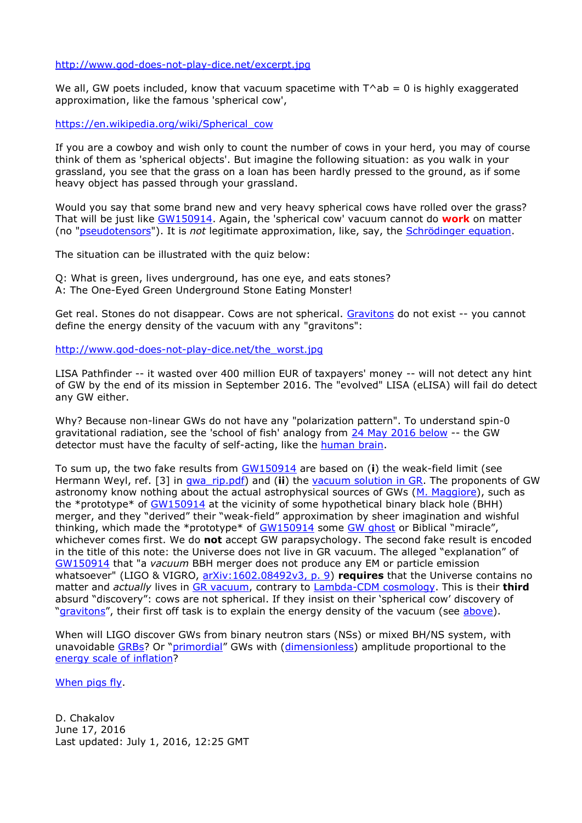## <http://www.god-does-not-play-dice.net/excerpt.jpg>

We all, GW poets included, know that vacuum spacetime with  $T^{\wedge}$ ab = 0 is highly exaggerated approximation, like the famous 'spherical cow',

[https://en.wikipedia.org/wiki/Spherical\\_cow](https://en.wikipedia.org/wiki/Spherical_cow)

If you are a cowboy and wish only to count the number of cows in your herd, you may of course think of them as 'spherical objects'. But imagine the following situation: as you walk in your grassland, you see that the grass on a loan has been hardly pressed to the ground, as if some heavy object has passed through your grassland.

Would you say that some brand new and very heavy spherical cows have rolled over the grass? That will be just like [GW150914.](#page-5-0) Again, the 'spherical cow' vacuum cannot do **work** on matter (no ["pseudotensors"](https://en.wikipedia.org/wiki/Stress%E2%80%93energy_tensor#In_general_relativity_2)). It is *not* legitimate approximation, like, say, the [Schrödinger equation.](https://en.wikipedia.org/wiki/Schr%C3%B6dinger_equation#Particles_as_waves)

<span id="page-4-0"></span>The situation can be illustrated with the quiz below:

Q: What is green, lives underground, has one eye, and eats stones? A: The One-Eyed Green Underground Stone Eating Monster!

Get real. Stones do not disappear. Cows are not spherical. [Gravitons](#page-6-0) do not exist -- you cannot define the energy density of the vacuum with any "gravitons":

[http://www.god-does-not-play-dice.net/the\\_worst.jpg](http://www.god-does-not-play-dice.net/the_worst.jpg)

LISA Pathfinder -- it wasted over 400 million EUR of taxpayers' money -- will not detect any hint of GW by the end of its mission in September 2016. The "evolved" LISA (eLISA) will fail do detect any GW either.

Why? Because non-linear GWs do not have any "polarization pattern". To understand spin-0 gravitational radiation, see the 'school of fish' analogy from [24 May 2016 below](http://www.god-does-not-play-dice.net/gravity.txt) -- the GW detector must have the faculty of self-acting, like the [human brain.](http://www.god-does-not-play-dice.net/illustration-of-human-brain.jpg)

To sum up, the two fake results from [GW150914](#page-5-0) are based on (**i**) the weak-field limit (see Hermann Weyl, ref. [3] in [gwa\\_rip.pdf\)](http://www.god-does-not-play-dice.net/gwa_rip.pdf) and (**ii**) the [vacuum solution in GR.](https://en.wikipedia.org/wiki/Vacuum_solution_(general_relativity)) The proponents of GW astronomy know nothing about the actual astrophysical sources of GWs [\(M. Maggiore\)](http://www.god-does-not-play-dice.net/Maggiore_p32.jpg), such as the \*prototype\* of [GW150914](#page-5-0) at the vicinity of some hypothetical binary black hole (BHH) merger, and they "derived" their "weak-field" approximation by sheer imagination and wishful thinking, which made the \*prototype\* of [GW150914](#page-5-0) some [GW ghost](#page-1-0) or Biblical "miracle", whichever comes first. We do **not** accept GW parapsychology. The second fake result is encoded in the title of this note: the Universe does not live in GR vacuum. The alleged "explanation" of [GW150914](#page-5-0) that "a *vacuum* BBH merger does not produce any EM or particle emission whatsoever" (LIGO & VIGRO, [arXiv:1602.08492v3, p. 9\)](http://arxiv.org/abs/1602.08492v3) **requires** that the Universe contains no matter and *actually* lives in [GR vacuum,](https://en.wikipedia.org/wiki/Vacuum_solution_(general_relativity)#Gravitational_energy) contrary to [Lambda-CDM cosmology.](https://en.wikipedia.org/wiki/Lambda-CDM_model) This is their **third** absurd "discovery": cows are not spherical. If they insist on their 'spherical cow' discovery of "[gravitons](#page-6-0)", their first off task is to explain the energy density of the vacuum (see [above\)](#page-4-0).

When will LIGO discover GWs from binary neutron stars (NSs) or mixed BH/NS system, with unavoidable [GRBs](https://en.wikipedia.org/wiki/Gamma-ray_burst)? Or "[primordial](https://en.wikipedia.org/wiki/Gravitational_wave_background#Future_observations)" GWs with ([dimensionless\)](#page-5-0) amplitude proportional to the [energy scale of inflation?](http://arxiv.org/abs/1511.05994v2)

[When pigs fly.](http://www.god-does-not-play-dice.net/excerpt.jpg)

D. Chakalov June 17, 2016 Last updated: July 1, 2016, 12:25 GMT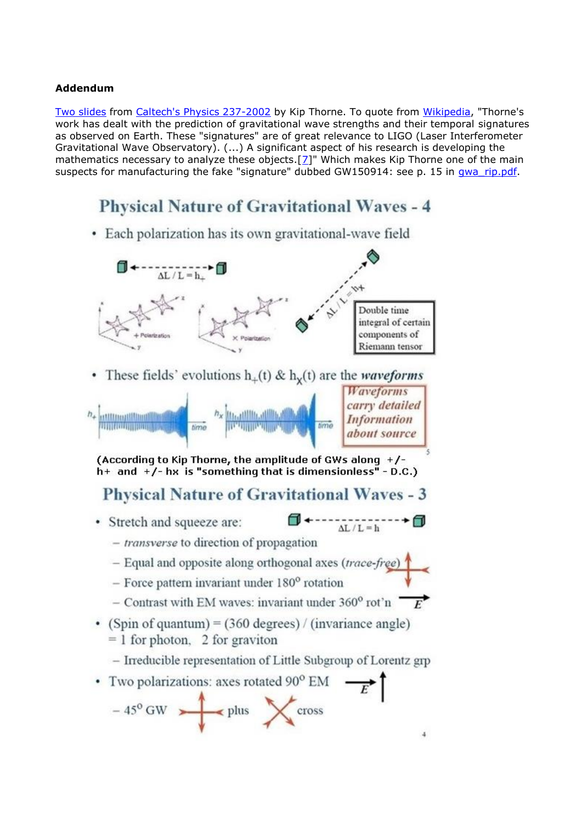## <span id="page-5-0"></span>**Addendum**

[Two slides](http://elmer.tapir.caltech.edu/ph237/week1/Ph237Week1Slides.pdf) from [Caltech's Physics 237-2002](http://elmer.tapir.caltech.edu/ph237/week1/week1.html) by Kip Thorne. To quote from [Wikipedia,](https://en.wikipedia.org/wiki/Kip_Thorne#Gravitational_waves_and_LIGO) "Thorne's work has dealt with the prediction of gravitational wave strengths and their temporal signatures as observed on Earth. These "signatures" are of great relevance to LIGO (Laser Interferometer Gravitational Wave Observatory). (...) A significant aspect of his research is developing the mathematics necessary to analyze these objects. $[2]$ " Which makes Kip Thorne one of the main suspects for manufacturing the fake "signature" dubbed GW150914: see p. 15 in [gwa\\_rip.pdf.](http://www.god-does-not-play-dice.net/gwa_rip.pdf)